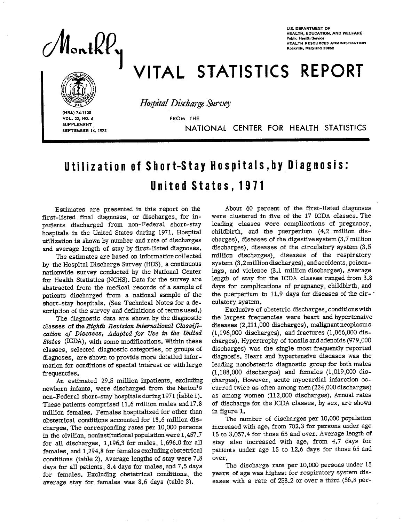

**U.S. DEPARTMENT OF HEALTH, EDUCATION, AND WELFARE Public Hulth Savica**  Health Resources Administration<br>Rockville, Maryland 20852

# VITAL STATISTICS REPORT



*Ho@2aZ* Discharge *Survey* 

HRA) 74-1120<br> **VOL. 22, NO.<br>
SUPPLEMENT<br>
SEPTEMBER VOL. 22, NO. 6** FROM THE **SUPPLEMENT** 

**SEPTEMBER 14, 1973** NATIONAL CENTER FOR HEALTH STATISTICS

## Utilization of Short-Stay Hospitals, by Diagnosis: United States, 1971

Estimates are presented in this report on the first-listed final diagnoses, or discharges, for inpatients discharged from non-Federal short-stay hospitals in the United States during 1971. Hospital utilization is shown by number and rate of discharges and average length of stay by first-listed diagnoses.

The estimates are based on information collected by the Hospital Discharge Survey (HDS), a continuous nationwide survey conducted by the National Center for Health Statistics (NCHS). Data for the survey are abstracted from the medical records of a sample of patients discharged from a national sample of the short-stay hospitals. (See Technical Notes for a description of the survey and definitions of terms used.)

The diagnostic data are shown by the diagnostic classes of the *Eighth Revision International Classij% cation of Diseases, Adapted for Use in the United States (lCDA),* with some modifications. Within these classes, selected diagnostic categories, or groups of diagnoses, are shown to provide more detailed information for conditions of special interest or with large frequencies.

An estimated 29.5 million inpatients, excluding newborn infants, were discharged from the Nation's non-Federal short-stay hospitals during 1971 (table 1). These patients comprised 11.6 million males and 17.8 million females. Females hospitalized for other than obstetrical conditions accounted for 13.6 million discharges. The corresponding rates per 10,000 persons in the civilian, noninstitutional population were 1,457.7 for all discharges, 1,196.3 for males, 1,696.0 for all females, and 1,294.8 for females excluding obstetrical conditions (table 2). Average lengths of stay were 7.8 days for all patients, 8.4 days for males, and 7.5 days for females. Excluding obstetrical conditions, the average stay for females was 8.6 days (table 3).

About 60 percent of the first-listed diagnoses were clustered in five of the 17 ICDA classes. The leading classes were complications of pregnancy, childbirth, and the puerperium (4.2 million discharges), diseases of the digestive system (3.7 million discharges), diseases of the circulatory system (3.5 million discharges), diseases of the respiratory system (3.2 million discharges), and accidents, poisonings, and violence (3.1 million discharges). Average length of stay for the ICDA classes ranged from 3.8 days for complications of pregnancy, childbirth, and the puerperium to  $11.9$  days for diseases of the circulatory system.

Exclusive of obstetric discharges, conditions with the largest frequencies were heart and hypertensive diseases (2,211,000 discharges), malignant neoplasms (1,196,000 discharges), and fractures (1,066,000 discharges). Hypertrophy of tonsils and adenoids (979,000 discharges) was the single most frequently reported diagnosis. Heart and hypertensive diseases was the leading nonobstetric diagnostic group for both males (1,188,000 discharges) and females (1,019,000 discharges). However, acute myocardial infarction occurred twice as often among men (224,000 discharges) as among women (112,000 discharges). Annual rates of discharge for the ICDA classes, by sex, are shown in figure 1.

The number of discharges per 10,000 population increased with age, from 702.3 for persons under age 15 to 3,057.4 for those 65 and over. Average length of stay also increased with age, from 4.7 days for patients under age 15 to 12.6 days for those 65 and over.

The discharge rate per 10,000 persons under 15 years of age was highest for respiratory system diseases with a rate of 258.2 or over a third (36.8 per-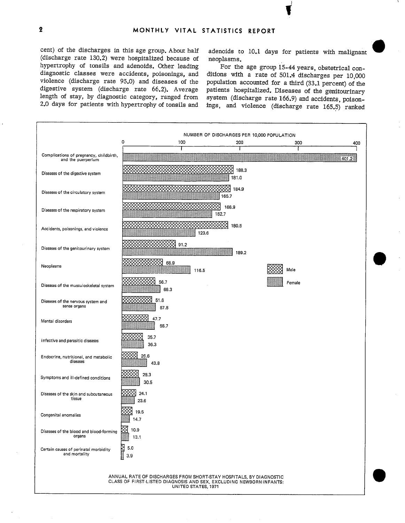cent) of the discharges in this age group. About half (discharge rate 130.2) were hospitalized because of hypertrophy of tonsils and adenoids. Other leading diagnostic classes were accidents, poisonings, and diagnostic classes were accidents, poisonings, and violence (discharge rate 95.0) and diseases of the digestive system (discharge rate 66.2). Average length of stay, by diagnostic category, ranged from 2.0 days for patients with hypertrophy of tonsils and

adenoids to 10.1 days for patients with malignant neoplasms.

For the age group 15-44 years, obstetrical conditions with a rate of 501.4 discharges per 10,000 population accounted for a third (33.1 percent) of the patients hospitalized. Diseases of the genitourinary system (discharge rate 166.9) and accidents, poisonings, and violence (discharge rate 165.S) ranked

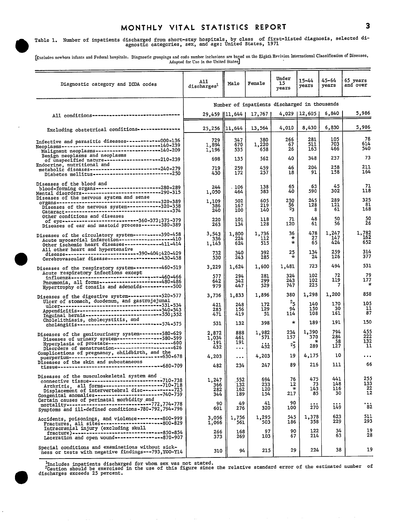## MONTHLY VITAL STATISTICS REPORT 3

Table 1. Number of inpatients discharged from short-stay hospitals, by class of first-listed diagnosis, selected diverse agnostic categories, sex, and age: United States, 1971

[Excludes nowborn infants and Federal hospitals. Diagnostic groupings and codo number inclusions are based on the Eighth Revision International Classification of Diseases, Adapted for Use in the United States]

| Diagnostic category and ICDA codes                                                                                                                                                                                                                                                                                                                       | All<br>discharges <sup>1</sup>               | Male                          | Female                   | Under<br>15<br>years         | $15 - 44$<br>years     | 45-64<br>years          | 65 years<br>and over                |
|----------------------------------------------------------------------------------------------------------------------------------------------------------------------------------------------------------------------------------------------------------------------------------------------------------------------------------------------------------|----------------------------------------------|-------------------------------|--------------------------|------------------------------|------------------------|-------------------------|-------------------------------------|
|                                                                                                                                                                                                                                                                                                                                                          | Number of inpatients discharged in thousands |                               |                          |                              |                        |                         |                                     |
| All conditions--------------------------------                                                                                                                                                                                                                                                                                                           |                                              | 29,459   11,644               | 17,767                   |                              | 4,029   12,605         | 6,840                   | 5,986                               |
| Excluding obstetrical conditions---------------                                                                                                                                                                                                                                                                                                          |                                              | 25,256   11,644               | 13,564                   | 4,010                        | 8,430                  | 6,830                   | 5,986                               |
| Infective and parasitic diseases------------000-136<br>Neoplasms----------------------------------140-239<br>Malignant neoplasms-----------------------140-209                                                                                                                                                                                           | 729<br>1.894<br>1,196                        | 347<br>670<br>535             | 380<br>1,220<br>658      | 266<br>67<br>26              | 281<br>511<br>163      | 105<br>703<br>466       | 78<br>614<br>540                    |
| Benign neoplasms and neoplasms<br>of unspecified nature---------------------210-239                                                                                                                                                                                                                                                                      | 698                                          | 135                           | 562                      | 40                           | 348                    | 237                     | 73                                  |
| Endocrine, nutritional and<br>metabolic diseases--------------------------240-279<br>Diabetes mellitus------------------------------250                                                                                                                                                                                                                  | 719<br>430                                   | 259<br>172                    | 459<br>257               | 46<br>18                     | 204.<br>91             | 258<br>158              | 211<br>164                          |
| Diseases of the blood and                                                                                                                                                                                                                                                                                                                                | 244<br>1,050                                 | . 106<br>464                  | 138<br>583               | 65<br>40                     | 63<br>590              | 45<br>302               | 71<br>118                           |
|                                                                                                                                                                                                                                                                                                                                                          | 1,109<br>386<br>240                          | 502<br>167<br>100             | 605<br>219<br>140        | 250<br>56<br>$^{2}3$         | 245<br>128<br>8        | 289<br>121<br>61        | 325<br>81<br>168                    |
| Other conditions and diseases<br>of eye---------------------------360-373;375-379<br>Diseases of ear and mastoid process-------380-389                                                                                                                                                                                                                   | 220<br>263                                   | 101<br>134                    | 118<br>128               | 71<br>120                    | 48<br>61               | 50<br>56                | 50<br>26                            |
| Diseases of the circulatory system----------390-458<br>Acute myocardial infarction---------------------410<br>Other ischemic heart diseases-------------411-414                                                                                                                                                                                          | 3,543<br>336<br>1,143                        | 1,800<br>224<br>624           | 1,736<br>112<br>515      | 36<br>₩<br>$\star$           | 478<br>27<br>65        | 1,247<br>147<br>424     | 1,782<br>162<br>652                 |
| All other heart and hypertensive                                                                                                                                                                                                                                                                                                                         | 732<br>530                                   | 340<br>243                    | 392<br>285               | 25<br>$\mathcal{R}$          | 134<br>24              | 259<br>126              | 314<br>377                          |
| Diseases of the respiratory system----------460-519                                                                                                                                                                                                                                                                                                      | 3,229                                        | 1,624                         | 1,600                    | 1,481                        | 723                    | 494                     | 531                                 |
| Acute respiratory infections except<br>influenza-------------------------------460-466<br>Pneumonia, all forms----------------------480-486<br>Hypertrophy of tonsils and adenoids-----------500                                                                                                                                                         | 577<br>642<br>979                            | 294<br>342<br>447             | 281<br>299<br>529        | 324<br>243<br>747            | 102<br>102<br>225      | 72<br>119<br>7          | 79<br>177<br>$^\star$               |
| Diseases of the digestive system ------------520-577                                                                                                                                                                                                                                                                                                     | 3,736                                        | 1,833                         | 1,896                    | 380                          | 1,298                  | 1,200                   | 858                                 |
| Ulcer of stomach, duodenum, and gastrojejunal                                                                                                                                                                                                                                                                                                            | 421<br>285<br>471                            | 248<br>156<br>419             | 172<br>129<br>51         | $^{2}$ 5.<br>94<br>114       | 140<br>150<br>108      | 170<br>30<br>161        | 105<br>11<br>87                     |
| Cholelithiasis, cholecystitis, and<br>cholangitis------------------------------574-575                                                                                                                                                                                                                                                                   | 531                                          | 132                           | 398                      | $\star$                      | 189                    | 191                     | 150                                 |
| Diseases of the genitourinary system--------580-629                                                                                                                                                                                                                                                                                                      | 2,872<br>1,034<br>191<br>432                 | 888<br>461<br>191<br>$\cdots$ | 1,982<br>571<br>432      | 234<br>157<br>$2\frac{1}{5}$ | 1,390<br>370<br>289    | 794<br>284<br>58<br>127 | 455<br>222<br>132<br>11             |
| Complications of pregnancy, childbirth, and the                                                                                                                                                                                                                                                                                                          | 4,203                                        | $\cdots$                      | 4,203                    | 19                           | 4,175                  | 10                      |                                     |
| Diseases of the skin and subcutaneous                                                                                                                                                                                                                                                                                                                    | 482                                          | 234                           | 247                      | 89                           | 216                    | 111                     | 66                                  |
| Diseases of the musculoskeletal system and<br>interactional continues and the material continues in the material contract in the material contract in the m<br>connective tissue---<br>Arthritis, all forms----------------------710-718<br>Displacement of intervertebral disc------------- 725<br>Congenital anomalies-------------------------740-759 | 1,247<br>366<br>282<br>344                   | 552<br>132<br>162<br>189      | 694<br>233<br>120<br>154 | 76<br>12<br>$\star$<br>217   | 475<br>73<br>143<br>85 | 441<br>148<br>116<br>30 | 255<br>133<br>$\overline{22}$<br>12 |
| Certain causes of perinatal morbidity and<br>mortality-------------------------------772,774-778<br>Symptoms and ill-defined conditions-780-792,794-796                                                                                                                                                                                                  | 90<br>601                                    | 49<br>276                     | 41<br>320                | 90<br>100                    | 270                    | 149                     | $\ddot{\phantom{1}82}$              |
| Accidents, poisonings, and violence---------800-999<br>Fractures, all sites-----------------------800-829                                                                                                                                                                                                                                                | 3,056<br>1,066                               | 1,756<br>561                  | 1,295<br>503             | 545<br>186                   | 1,378<br>358           | 623<br>229              | 511<br>293.                         |
| Intracranial injury (excluding skull<br>fracture)--------------------------------850-854<br>Laceration and open wound----------------870-907                                                                                                                                                                                                             | 266<br>373                                   | 168<br>269                    | 97<br>103                | 90<br>67                     | 122<br>214             | 34<br>63                | 19<br>28                            |
| Special conditions and examinations without sick-<br>ness or tests with negative findings---793, YOO-Y14                                                                                                                                                                                                                                                 | 310                                          | 94                            | 215                      | 29                           | 224                    | 38                      | 19                                  |

lncludes inpatients discharged for whom sex was not stated.<br>
<sup>2</sup>Caution should be exercised in the use of this figure since the relative standard error of the estimated number of<br>
discharges exceeds 25 percent.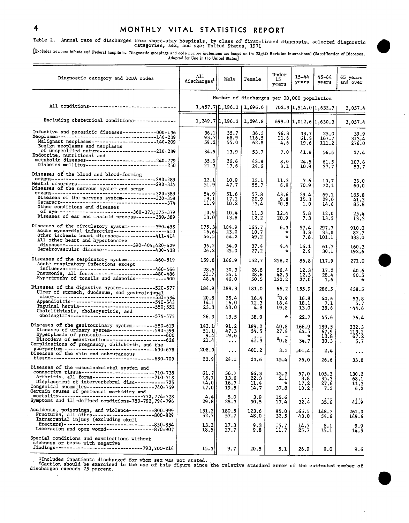### 4 MONTHLY VITAL STATISTICS REPORT

## Table 2. Annual rate of discharges from short-stay hospitals, by class of first-listed diagnosis, selected diagnostic categories, sex, and age: United States, 1971,

[EXd.des nswbominfants and Federal hospitals. Diagnostic groupings and ccds n.mb.r i..,,sio.s are bassd**. . the** Eighth Rsvisirm Intsm.ticmdClassificationof Disesses, Adapted for Use in the United State.

| Diagnostic category and ICDA codes                                                                                                                                                                                                                | All<br>dischargest <sup>1</sup>            | Male                             | Female                                       | Under<br>15<br>years                  | 15-44<br>years              | 45–64<br>years                | 65 years<br>and over          |
|---------------------------------------------------------------------------------------------------------------------------------------------------------------------------------------------------------------------------------------------------|--------------------------------------------|----------------------------------|----------------------------------------------|---------------------------------------|-----------------------------|-------------------------------|-------------------------------|
|                                                                                                                                                                                                                                                   | Number of discharges per 10,000 population |                                  |                                              |                                       |                             |                               |                               |
| All conditions-----------------------------                                                                                                                                                                                                       |                                            |                                  | $1,457.7$   $\updownarrow$ , 196.3   1,696.0 |                                       |                             | 702.3 1,514.0 1,632.7         | 3,057.4                       |
| Excluding obstetrical conditions---------------                                                                                                                                                                                                   |                                            |                                  | $1, 249.7$ 1, $196.3$   1, 294.8             |                                       | 699.0 1,012.6 1,630.3       |                               | 3,057.4                       |
| Infective and parasitic diseases------------000-136<br>Neoplasms----------------------------------140-239<br>Malignant neoplasms---------------------140-209<br>Benign neoplasms and neoplasms<br>of unspecified nature-------------------210-239 | 36.1<br>93.7<br>59.21                      | 35.7<br>68.9<br>55.0             | 36.3<br>116.5<br>62.8                        | 46.3<br>11.6<br>4.6                   | 33.7<br>61.4<br>19.6        | 25.0<br>167.7<br>111.2        | 39.9<br>313.4<br>276.0        |
| Endocrine, nutritional and                                                                                                                                                                                                                        | 34.51<br>35.61<br>21.3                     | 13.9<br>26.6<br>17.6             | 53.7<br>43.8<br>24.6                         | 7.0<br>8.0<br>3.1                     | 41.8<br>24.5<br>10.9        | 56.6<br>61.5<br>37.7          | 37.4<br>107.6<br>83.7         |
| Diseases of the blood and blood-forming<br>Mental disorders----------------------------290-315<br>Diseases of the nervous system and sense                                                                                                        | 12.1 <br>51.9<br>54.9                      | 10.9<br>47.7<br>51.6             | 13.1<br>55.7<br>57.8                         | 11.3<br>6.9<br>43.6                   | 7.6<br>70.9<br>29.4         | 10.7<br>72.1                  | 36.0<br>60.0                  |
| Other conditions and diseases                                                                                                                                                                                                                     | 19.1<br>11.9                               | 17.1<br>10.2                     | 20.9<br>13.4                                 | 20.8                                  | 15.3<br>1.0                 | 69.1<br>29.0<br>14.6          | 165.8<br>41.3<br>85.8         |
| of eye--------------------------360-373;375-379<br>Diseases of ear and mastoid process-------380-389                                                                                                                                              | 10.9<br>13.0                               | 10.4<br>13.8                     | 11.3<br>12.2                                 | 12.4<br>20.9                          | 5.8<br>7.3                  | 12.0<br>13.5                  | 25.4<br>13.3                  |
| Diseases of the circulatory system----------390-458<br>Acute myocardial infarction------------------410<br>Other ischemic heart diseases -------------411-414<br>All other heart and hypertensive                                                 | 175.3<br>16,6<br>56.5                      | 184.9<br>23.0<br>64.2            | 165.7<br>10.7<br>49.2                        | 6.3<br>∗<br>$\mathcal{R}$             | 57.4<br>3.3<br>7.8          | 297.7<br>35.0<br>101.1        | 910.0<br>82.7<br>333.0        |
| disease-------------------------390-404;420-429<br>Cerebrovascular disease-----------------430-438                                                                                                                                                | 36.2<br>26.2                               | 34.9<br>25.0                     | 37.4<br>27.2                                 | 4.4<br>÷                              | 16.1<br>2.9                 | 61.7<br>30.1                  | 160.3<br>192.6                |
| Diseases of the respiratory system----------460-519<br>Acute respiratory infections except                                                                                                                                                        | 159.8                                      | 166.9                            | 152.7                                        | 258.2                                 | 86.8                        | 117.9                         | 271.0                         |
| influenza-------------------------------460-466<br>Pneumonia, all forms---------------------480-486<br>Hypertrophy of tonsils and adenoids----------500                                                                                           | 28.5<br>31.7<br>48.4                       | 30.3<br>35.1<br>46.0             | 26.8<br>28.6<br>50.5                         | 56.4<br>42,3<br>130.2                 | 12.3<br>12.3<br>27.0        | 17.2<br>28.4<br>1.6           | 40.6<br>90.5                  |
| Diseases of the digestive system------------520-577<br>Ulcer of stomach, duodenum, and gastrojejunal                                                                                                                                              | 184.9                                      | 188.3                            | 181.0                                        | 66.2                                  | 155.9                       | 286.5                         | 438.5                         |
| Cholelithiasis, cholecystitis, and<br>cholangitis-----------------------------574-575                                                                                                                                                             | 20.8<br>14.1<br>23.3                       | 25.4<br>16.0<br>43.0             | 16.4<br>12.3<br>4.8                          | $^{2}0.9$<br>16.4<br>19.8             | 16.8<br>18.1<br>13.0        | 40.6<br>7.1<br>38.6           | 53.8<br>5.7<br>- 44.6         |
|                                                                                                                                                                                                                                                   | 26.3                                       | 13.5                             | 38.0                                         | $\star$                               | 22.7                        | 45.6                          | 76.4                          |
| Diseases of the genitourinary system--------580-629<br>Diseases of urinary system---------------580-599<br>Hyperplasia of prostate----------------------600<br>Disorders of menstruation-------------------626                                    | 142.1<br>51.1<br>9.4<br>21.4               | 91.2<br>47.3<br>19.6<br>$\cdots$ | 189.2<br>54.5<br>41.3                        | 40.8<br>27.4<br>$^{2}0.8$             | 166.9<br>44.5<br>÷<br>34.7  | 189.5<br>67.9<br>13.8<br>30.3 | 232.3<br>113.2<br>67.2<br>5.7 |
| Complications of pregnancy, childbirth, and the<br>puerperium--------------------------------630-678<br>Diseases of the skin and subcutaneous                                                                                                     | 208.0                                      | $\cdots$                         | 401.2                                        | 3.3                                   | 501.4                       | 2.4                           | $\cdots$                      |
|                                                                                                                                                                                                                                                   | 23.9                                       | 24.1                             | 23.6                                         | 15.4                                  | 26.0                        | 26.6                          | 33.8                          |
| Diseases of the musculoskeletal system and<br>Displacement of intervertebral disc------------725<br>Congenital anomalies-----------------------740-759<br>Certain causes of perinatal morbidity and                                               | 61.7<br>$\frac{18.1}{14.0}$<br>17.0        | 56.7<br>13.6<br>16.7<br>19.5     | 66.3<br>22.3<br>11.4<br>14.7                 | 13.3<br><u>2.L</u><br>$\star$<br>37.8 | 57.0<br>8.8<br>17.2<br>10.2 | 105.3<br>35.3<br>27.6<br>7.3  | 130.2<br>68.I<br>11.3<br>6.2  |
| mortality-----------------------------772,774-778<br>Symptoms and ill-defined conditions-780-792,794-796                                                                                                                                          | 4.4<br>29.8                                | 5.0<br>28.3                      | 3.9<br>30.5                                  | 15.6<br>17.4                          | 32.4                        | 35.6                          | 41.9                          |
| Accidents, poisonings, and violence---------800-999<br>Fractures, all sites----------------------800-829<br>Intracranial injury (excluding skull                                                                                                  | 151.2<br>52.7                              | 180.5<br>57.7                    | 123.6<br>48.0                                | 95.0<br>32.5                          | 165.5<br>43.0               | 148.7<br>54.6                 | 261.0<br>149.6                |
| fracture)-------------------------------850-854<br>Laceration and open wound----------------870-907                                                                                                                                               | 13.2<br>18.5                               | 17.3<br>27.7                     | 9.3<br>9.8                                   | 15.7<br>11.7                          | 14.7<br>25.7                | 8.1<br>15.1                   | $0.9$<br>14.5                 |
| Special conditions and examinations without<br>sickness or tests with negative<br>findings------------------------------793, Y00-Y14                                                                                                              | 15.3                                       | 9.7                              | 20.5                                         | 5.1                                   | 26.9                        | 9.0                           | 9.6                           |

llncludes inpatients discharged for whom sex was not stated.<br><sup>2</sup>Caution should be exercised in the use of this figure since the relative standard error of the estimated number of<br>discharges exceeds 25 percent.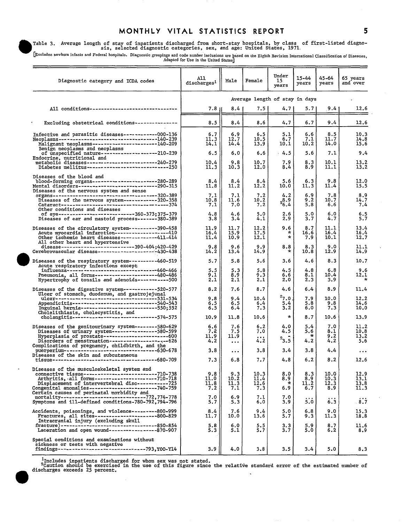#### MONTHLY VITAL STATISTICS REPORT 5

Table 3. Average length of stay of inpatients discharged from short-stay hospitals, by class of first-listed diagno-<br>
1971, Sis, sex, and age: United States, 1971,<br>
Discussion in the States of Edden in the State of Edden I

[Excludes newborn infants and Federal hospitals. Diagnostic groupings and code number inclusions are based on the Eighth Revision International Classification of Diseases, Adapted for Use in the United States]

| Diagnostic category and ICDA codes                                                                                                                                                                                                                                                                              | All<br>discharges <sup>1</sup> | Male                           | Female                      | Under<br>15<br>years         | $15 - 44$<br>years        | 45–64<br>years              | 65 years<br>and over                 |
|-----------------------------------------------------------------------------------------------------------------------------------------------------------------------------------------------------------------------------------------------------------------------------------------------------------------|--------------------------------|--------------------------------|-----------------------------|------------------------------|---------------------------|-----------------------------|--------------------------------------|
|                                                                                                                                                                                                                                                                                                                 | Average length of stay in days |                                |                             |                              |                           |                             |                                      |
| All conditions-------------------------------                                                                                                                                                                                                                                                                   | $7.8 \, \mu$                   | 8.4                            | 7.5                         | 4.7                          | 5.7                       | $9.4^{\circ}$               | 12.6                                 |
| Excluding obstetrical conditions ---------------                                                                                                                                                                                                                                                                | 8.5                            | 8.4                            | 8.6                         | 4.7                          | 6.7                       | 9.4                         | 12.6                                 |
| Infective and parasitic diseases------------000-136<br>Neoplasms-------------------------------140-239<br>Malignant neoplasms----------------------140-209<br>Benign neoplasms and neoplasms                                                                                                                    | 6.7<br>11.3<br>14.1            | 6.9<br>12.7<br>14.4            | 6.5<br>10.5<br>13.9         | 5.1<br>6.7<br>10.1           | 6.6<br>7.1<br>10.2        | 8.5<br>11.7<br>14.0         | 10.3<br>14.8<br>15.6                 |
| of unspecified nature--------------------210-239<br>Endocrine, nutritional and                                                                                                                                                                                                                                  | 6.5<br>10.4<br>11.3            | 6.0<br>9.8<br>10.3             | 6.6<br>10.7<br>12.0         | $-4.5$<br>7.9<br>8.4         | 5.6<br>8.3<br>8.9         | 7.1<br>10.1<br>11.I         | 9.4<br>13.2<br>13.2                  |
| Diseases of the blood and<br>blood-forming organs----------------------280-289<br>Mental disorders---------------------------290-315<br>Diseases of the nervous system and sense                                                                                                                                | 8.4<br>11.8                    | 8.4<br>11.2                    | 8.4<br>12.2                 | 5.6<br>10.0                  | 6.3<br>11.3               | 9.8<br>11.4                 | 12.0<br>15.5                         |
| Other conditions and diseases                                                                                                                                                                                                                                                                                   | 7,1<br>10.8<br>7.1             | 7.1<br>11.6<br>7.0             | 7.2<br>10.2<br>7.2          | 4.2<br>28.9<br>6.4           | 6.9<br>9.2<br>5.8         | 7.8<br>10.7<br>6.6          | 8.9<br>14.7<br>7.4                   |
| of eye---------------------------360-373;375-379<br>Diseases of ear and mastoid process-------380-389                                                                                                                                                                                                           | 4.8<br>3.8                     | 4.6<br>3.4                     | 5.0<br>4.1                  | 2.6<br>2.9                   | 5.0<br>3.7                | 6.0<br>4.7                  | 5.5                                  |
| Diseases of the circulatory system----------390-458<br>Acute myocardial infarction------------------410<br>Other ischemic heart diseases-------------411-414<br>All other heart and hypertensive                                                                                                                | 11.9<br>16.4<br>11.4           | 11.7<br>15.9<br>10.9           | 12.2<br>17.5<br>12.I        | 9.6<br>÷<br>$\ast$           | 8.7<br>16.6<br>7.9        | 11.1<br>16.4<br>10.1        | 13.4<br>16.4<br>12.7                 |
| disease------------------------------390-404;420-429<br>Cerebrovascular disease---------------------430-438                                                                                                                                                                                                     | 9.8<br>14.2                    | 9.6<br>13.4                    | 9.9<br>14.9                 | 8.8<br>$\ast$                | 8.3<br>10.8               | 9.0<br>12.9                 | 11.1<br>14.9                         |
| Diseases of the respiratory system----------460-519<br>Acute respiratory infections except                                                                                                                                                                                                                      | 5.7                            | 5.8                            | 5.6                         | 3.6                          | 4.6                       | 8.3                         | 10.7                                 |
| influenza------------------------------460-466<br>Pneumonia, all forms---------------------480-486<br>Hypertrophy of tonsils and adenoids ---------500                                                                                                                                                          | 5.5<br>9.1<br>2.1              | 5.3<br>8.9<br>2.1              | 5.8<br>9.3<br>2.1           | 4.5<br>6.6<br>2.0            | 4.8<br>8.1<br>2.3         | 6.8<br>10.4<br>3.9          | 9.6<br>12.1                          |
| Diseases of the digestive system------------520-577<br>Ulcer of stomach, duodenum, and gastrojejunal                                                                                                                                                                                                            | 8.2<br>9.8                     | 7.6                            | 8.7                         | 4.6<br>$^{2}7.0$ .           | 6,4                       | 8.9                         | 11.4                                 |
| ulcer----------------------------------531-534<br>Appendicitis---------------------------540-543<br>Inguinal hernia---------------------------550;552<br>Cholelithiasis, cholecystitis, and                                                                                                                     | 6.5<br>6.5                     | 9,4<br>6.5<br>6.4              | 10.4<br>6.4<br>7.3          | 5.4<br>3.2                   | 7.9<br>5.8<br>6.0         | 10.0<br>9.8<br>7.3          | 12.2<br>14.6<br>10.0                 |
| cholangitis------------------------------574-575                                                                                                                                                                                                                                                                | 10.9                           | 11.8                           | 10.6                        | $\star$                      | 8.7                       | 10.6                        | 13.9                                 |
| Diseases of the genitourinary system--------580-629<br>Diseases of urinary system----------------580-599<br>Hyperplasia of prostate------------------------600<br>Disorders of menstruation---------------------626                                                                                             | 6.6<br>7.2<br>11.9<br>4.2      | 7.6<br>7.5<br>11.9<br>$\cdots$ | 6, 2<br>7.0<br>4.2          | 4.0<br>4.5<br>$^{2}$ 3.5     | 5.4<br>5.6<br>÷.<br>4.2   | 7.0<br>8.1<br>9.2<br>4.2    | 11.2<br>10.8<br>13.2<br>5.6          |
| Complications of pregnancy, childbirth, and the<br>puerperium-------------------------------630-678<br>Diseases of the skin and subcutaneous                                                                                                                                                                    | 3.8                            | $\bullet$ .<br><br>$\bullet$   | 3.8                         | 3.4                          | 3.8                       | 4.4                         |                                      |
|                                                                                                                                                                                                                                                                                                                 | 7.3                            | 6.8                            | 7.7                         | 4.8                          | 6.2                       | 8.2                         | 12.6                                 |
| Diseases of the musculoskeletal system and<br>connective tissue---------------------------710-738<br>Arthritis, all forms---------------------710-718<br>Displacement of intervertebral disc------------725<br>Congenital anomalies------------------------740-759<br>Certain causes of perinatal morbidity and | 9.8<br>11.0<br>11.8<br>7.2     | 9.3<br>10.2<br>11.3<br>7.1     | 10.3<br>11.4<br>12.6<br>7.3 | 8.0<br>8.Y<br>$\star$<br>6.9 | 8.3<br>8.9<br>11.2<br>6.7 | 10.0<br>10.3<br>12.3<br>8.9 | 12.9<br>13.1<br>13.8<br>11.3         |
| mortality------------------------------772,774-778<br>Symptoms and ill-defined conditions-780-792, 794-796                                                                                                                                                                                                      | 7.0<br>5.7                     | 6.9<br>5.3                     | 7.1<br>6.0                  | 7.0<br>3.9                   | 5.0                       | 6.3                         | $\ddot{\mathbf{8}} \cdot \mathbf{7}$ |
| Accidents, poisonings, and violence---------800-999<br>Fractures, all sites----------------------800-829<br>Intracranial injury (excluding skull                                                                                                                                                                | 8.4<br>11.7                    | 7.6<br>10.0                    | 9.4<br>13.6                 | 5.0<br>5.7                   | 6.8<br>9.3                | 9.0<br>11.3                 | 15.3<br>18.8                         |
| fracture)----------------------------------850-854<br>Laceration and open wound----------------870-907                                                                                                                                                                                                          | 5.8<br>5.3                     | 6.0<br>5.1                     | 5.5<br>5.7                  | 3.3<br>3.7                   | 5.9<br>5.0                | 8.7<br>6.2                  | 11.6<br>8.9                          |
| Special conditions and examinations without<br>sickness or tests with negative<br>findings-------------------------------793,Y00-Y14                                                                                                                                                                            | 3.9                            | 4.0                            | 3.8                         | 3.5                          | 3.4                       | 5.0                         | 8.3                                  |

lncludes inpatients discharged for whom sex was not stated.<br>
<sup>2</sup>Caution should be exercised in the use of this figure since the relative standard error of the estimated number of discharges exceeds 25 percent.  $\ddot{\phantom{0}}$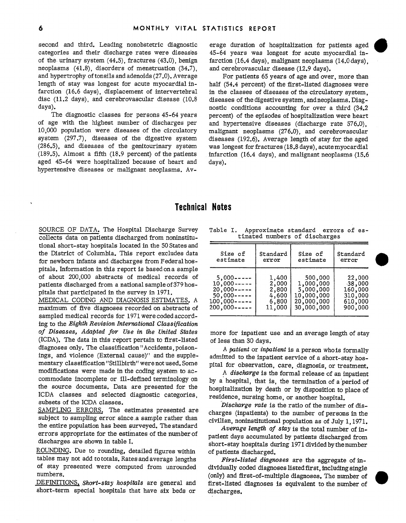second and third. Leading nonobstetric diagnostic categories and their discharge rates were diseas'es of the urinary system (44.5), fractures (43.0), benign neoplasms (41.8), disorders of menstruation (34.7), and hypertrophy of tonsils and adenoids (27.0). Average length of stay was longest for acute myocardial infarction (16.6 days), displacement of intervertebral disc (11.2 days), and cerebrovascular disease (10.8 days).

The diagnostic classes for persons 45-64 years of age with the highest number of discharges per 10,000 population were diseases of the circulatory system (297.7), diseases of the digestive system (286.5), and diseases of the genitourinary system (189.5). Almost a fifth (18.9 percent) of the patients aged 45-64 were hospitalized because of heart and hypertensive diseases or malignant neoplasms. Average duration of hospitalization for patients aged<br>45-64 years was longest for acute myocardial infarction  $(16.4 \text{ days})$ , malignant neoplasms  $(14.0 \text{ days})$ . and cerebrovascular disease (12.9 days).

For patients 65 years of age and over, more than half (54.4 percent) of the first-listed diagnoses were in the classes of diseases of the circulatory system, diseases of the digestive system, andneoplasms. Diagnostic conditions accounting for over a third  $(34.2)$ percent) of the episodes of hospitalization were heart and hypertensive diseases (discharge rate 576.0), malignant neoplasms (276.0), and cerebrovascular diseases (192.6). Average length of stay for the aged was longest for fractures (18.8 days), acute myocardial infarction (16.4 days), and malignant neoplasms (15.6 days).

### Technical Notes

SOURCE OF DATA. The Hospital Discharge Survey collects data on patients discharged from noninstitutional short-stay hospitals located in the 50 States and the District of Columbia. This report excludes data for newborn infants and discharges from Federal hospitals. Information in this report is based on a sample of about 200,000 abstracts of medical records of patients discharged from a national sample of 379 hospitals that participated in the survey in 1971.

MEDICAL CODING AND DIAGNOSIS ESTIMATES. A maximum of five diagnoses recorded on abstracts of sampled medical records for 1971 were coded according to the *Eighth Revision International Classification of Diseases, Adapted for Use in the United States*  (ICDA). The data in this report pertain to first-listed diagnoses only. The classification "Accidents, poisonings, and violence (External cause)" and the supplementary classification "Stillbirth" were not used. Some modifications were made in the coding system to accommodate incomplete or ill-defined terminology on the source documents. Data are presented for the ICDA classes and selected diagnostic categories, subsets of the ICDA classes.

SAMPLING ERRORS. The estimates presented are subject to sampling error since a sample rather than the entire population has been surveyed. The standard errors appropriate for the estimates of the number of discharges are shown in table I.

ROUNDING. Due to rounding, detailed figures within tables may not add to totals. Rates and average lengths of stay presented were computed from unrounded numbers.

DEFINITIONS, Short-stay hospitals are general and short-term special hospitals that have six beds or

Table I. Approximate standard errors of es-<br>timated numbers of discharges

| Size of<br>estimate | Standard<br>error | Standard<br>Size of<br>estimate<br>error |           |  |
|---------------------|-------------------|------------------------------------------|-----------|--|
| $5,000$ -----       | 1,400             | 500,000                                  | 22,000    |  |
| $10,000---$         | 2,000             | 1,000,000                                | $-38,000$ |  |
| $20,000---$         | 2,800             | 5,000,000                                | 160,000   |  |
| $50,000---$         | 4,600             | 10,000,000                               | 310,000   |  |
| $100,000---$        | 6,800             | 20,000,000                               | 610,000   |  |
| $200,000---$        | 11,000            | 30,000,000                               | 900,000   |  |

more for inpatient use and an average length of stay of less than 30 days.

A patient *or inpatientis* a person whois formally admitted to the inpatient service of a short-stay hospital for observation, care, diagnosis, or treatment.

A discharge is the formal release of an inpatient by a hospital, that is, the termination of a period of hospitalization by death or by disposition to place of residence, nursing home, or another hospital.

*'Discharge rate* is the ratio of the number of discharges (inpatients) to the number of persons in the civilian, noninstitutional population as of July 1,1971.

*Avevage length of* stay is the total number of inpatient days accumulated by patients discharged from short-stay hospitals during 1971 divided bythenumber of patients discharged.

*First-listed diagnoses* are the aggregate of individually coded diagnoses listed first, including single (only) and first-of-multiple diagnoses. The number of dividually coded diagnoses insted first, including single<br>(only) and first-of-multiple diagnoses. The number of<br>first-listed diagnoses is equivalent to the number of discharges.